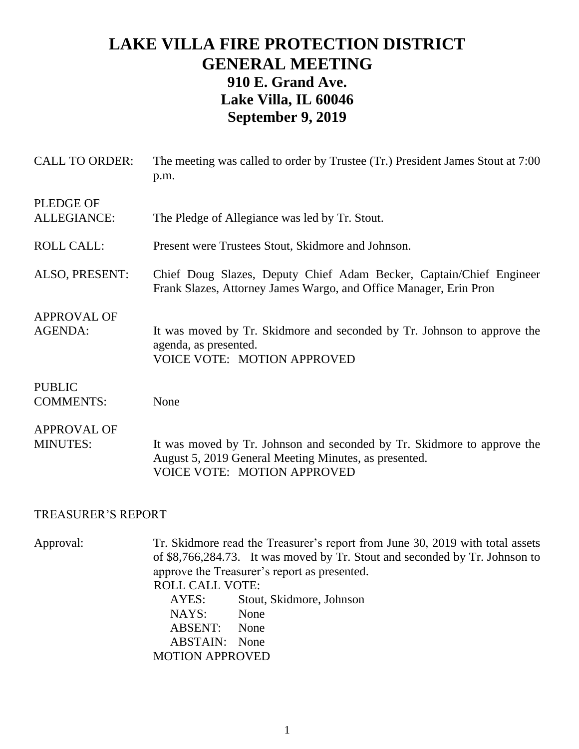## **LAKE VILLA FIRE PROTECTION DISTRICT GENERAL MEETING 910 E. Grand Ave. Lake Villa, IL 60046 September 9, 2019**

| <b>CALL TO ORDER:</b>                 | The meeting was called to order by Trustee (Tr.) President James Stout at 7:00<br>p.m.                                                                                 |
|---------------------------------------|------------------------------------------------------------------------------------------------------------------------------------------------------------------------|
| <b>PLEDGE OF</b><br>ALLEGIANCE:       | The Pledge of Allegiance was led by Tr. Stout.                                                                                                                         |
| <b>ROLL CALL:</b>                     | Present were Trustees Stout, Skidmore and Johnson.                                                                                                                     |
| ALSO, PRESENT:                        | Chief Doug Slazes, Deputy Chief Adam Becker, Captain/Chief Engineer<br>Frank Slazes, Attorney James Wargo, and Office Manager, Erin Pron                               |
| <b>APPROVAL OF</b><br><b>AGENDA:</b>  | It was moved by Tr. Skidmore and seconded by Tr. Johnson to approve the<br>agenda, as presented.<br><b>VOICE VOTE: MOTION APPROVED</b>                                 |
| <b>PUBLIC</b><br><b>COMMENTS:</b>     | None                                                                                                                                                                   |
| <b>APPROVAL OF</b><br><b>MINUTES:</b> | It was moved by Tr. Johnson and seconded by Tr. Skidmore to approve the<br>August 5, 2019 General Meeting Minutes, as presented.<br><b>VOICE VOTE: MOTION APPROVED</b> |

## TREASURER'S REPORT

Approval: Tr. Skidmore read the Treasurer's report from June 30, 2019 with total assets of \$8,766,284.73. It was moved by Tr. Stout and seconded by Tr. Johnson to approve the Treasurer's report as presented. ROLL CALL VOTE: AYES: Stout, Skidmore, Johnson NAYS: None ABSENT: None ABSTAIN: None MOTION APPROVED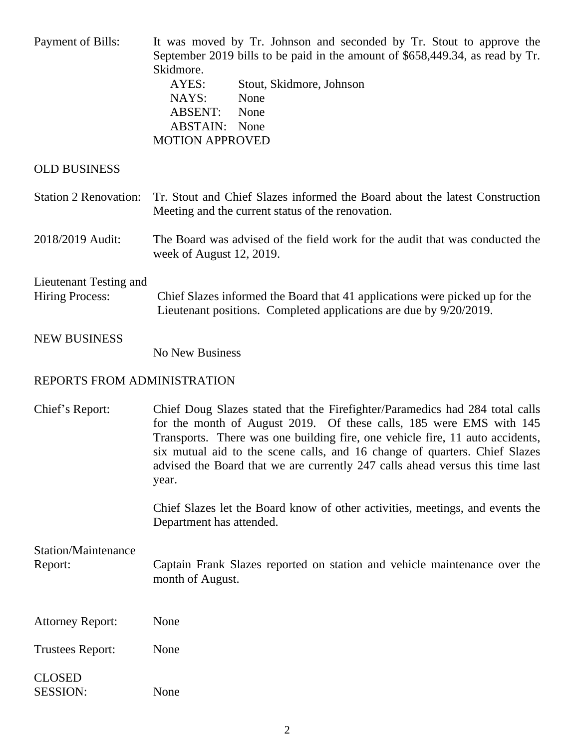| <b>Payment of Bills:</b>                         | It was moved by Tr. Johnson and seconded by Tr. Stout to approve the<br>September 2019 bills to be paid in the amount of \$658,449.34, as read by Tr.<br>Skidmore.<br>AYES:<br>Stout, Skidmore, Johnson<br>NAYS:<br>None<br><b>ABSENT:</b><br>None<br><b>ABSTAIN:</b><br>None<br><b>MOTION APPROVED</b>                                                                                                      |
|--------------------------------------------------|--------------------------------------------------------------------------------------------------------------------------------------------------------------------------------------------------------------------------------------------------------------------------------------------------------------------------------------------------------------------------------------------------------------|
| <b>OLD BUSINESS</b>                              |                                                                                                                                                                                                                                                                                                                                                                                                              |
| <b>Station 2 Renovation:</b>                     | Tr. Stout and Chief Slazes informed the Board about the latest Construction<br>Meeting and the current status of the renovation.                                                                                                                                                                                                                                                                             |
| 2018/2019 Audit:                                 | The Board was advised of the field work for the audit that was conducted the<br>week of August 12, 2019.                                                                                                                                                                                                                                                                                                     |
| Lieutenant Testing and<br><b>Hiring Process:</b> | Chief Slazes informed the Board that 41 applications were picked up for the<br>Lieutenant positions. Completed applications are due by 9/20/2019.                                                                                                                                                                                                                                                            |
| <b>NEW BUSINESS</b>                              | <b>No New Business</b>                                                                                                                                                                                                                                                                                                                                                                                       |
| REPORTS FROM ADMINISTRATION                      |                                                                                                                                                                                                                                                                                                                                                                                                              |
| Chief's Report:                                  | Chief Doug Slazes stated that the Firefighter/Paramedics had 284 total calls<br>for the month of August 2019. Of these calls, 185 were EMS with 145<br>Transports. There was one building fire, one vehicle fire, 11 auto accidents,<br>six mutual aid to the scene calls, and 16 change of quarters. Chief Slazes<br>advised the Board that we are currently 247 calls ahead versus this time last<br>year. |
|                                                  | Chief Slazes let the Board know of other activities, meetings, and events the<br>Department has attended.                                                                                                                                                                                                                                                                                                    |
| <b>Station/Maintenance</b><br>Report:            | Captain Frank Slazes reported on station and vehicle maintenance over the<br>month of August.                                                                                                                                                                                                                                                                                                                |
| <b>Attorney Report:</b>                          | None                                                                                                                                                                                                                                                                                                                                                                                                         |
| <b>Trustees Report:</b>                          | None                                                                                                                                                                                                                                                                                                                                                                                                         |
| <b>CLOSED</b><br><b>SESSION:</b>                 | None                                                                                                                                                                                                                                                                                                                                                                                                         |